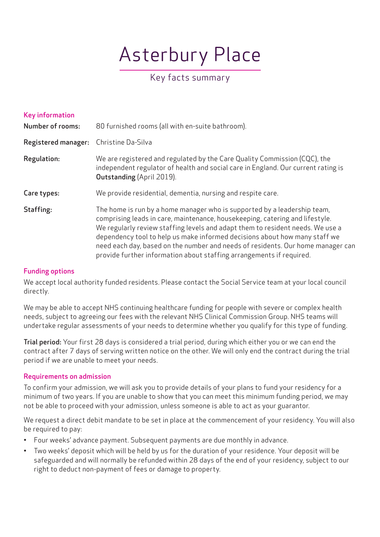# Asterbury Place

# Key facts summary

| Key information<br><b>Number of rooms:</b> | 80 furnished rooms (all with en-suite bathroom).                                                                                                                                                                                                                                                                                                                                                                                                                                    |
|--------------------------------------------|-------------------------------------------------------------------------------------------------------------------------------------------------------------------------------------------------------------------------------------------------------------------------------------------------------------------------------------------------------------------------------------------------------------------------------------------------------------------------------------|
| <b>Registered manager:</b>                 | Christine Da-Silva                                                                                                                                                                                                                                                                                                                                                                                                                                                                  |
| <b>Regulation:</b>                         | We are registered and regulated by the Care Quality Commission (CQC), the<br>independent regulator of health and social care in England. Our current rating is<br><b>Outstanding (April 2019).</b>                                                                                                                                                                                                                                                                                  |
| Care types:                                | We provide residential, dementia, nursing and respite care.                                                                                                                                                                                                                                                                                                                                                                                                                         |
| Staffing:                                  | The home is run by a home manager who is supported by a leadership team,<br>comprising leads in care, maintenance, housekeeping, catering and lifestyle.<br>We regularly review staffing levels and adapt them to resident needs. We use a<br>dependency tool to help us make informed decisions about how many staff we<br>need each day, based on the number and needs of residents. Our home manager can<br>provide further information about staffing arrangements if required. |

# Funding options

We accept local authority funded residents. Please contact the Social Service team at your local council directly.

We may be able to accept NHS continuing healthcare funding for people with severe or complex health needs, subject to agreeing our fees with the relevant NHS Clinical Commission Group. NHS teams will undertake regular assessments of your needs to determine whether you qualify for this type of funding.

Trial period: Your first 28 days is considered a trial period, during which either you or we can end the contract after 7 days of serving written notice on the other. We will only end the contract during the trial period if we are unable to meet your needs.

## Requirements on admission

To confirm your admission, we will ask you to provide details of your plans to fund your residency for a minimum of two years. If you are unable to show that you can meet this minimum funding period, we may not be able to proceed with your admission, unless someone is able to act as your guarantor.

We request a direct debit mandate to be set in place at the commencement of your residency. You will also be required to pay:

- Four weeks' advance payment. Subsequent payments are due monthly in advance.
- Two weeks' deposit which will be held by us for the duration of your residence. Your deposit will be safeguarded and will normally be refunded within 28 days of the end of your residency, subject to our right to deduct non-payment of fees or damage to property.